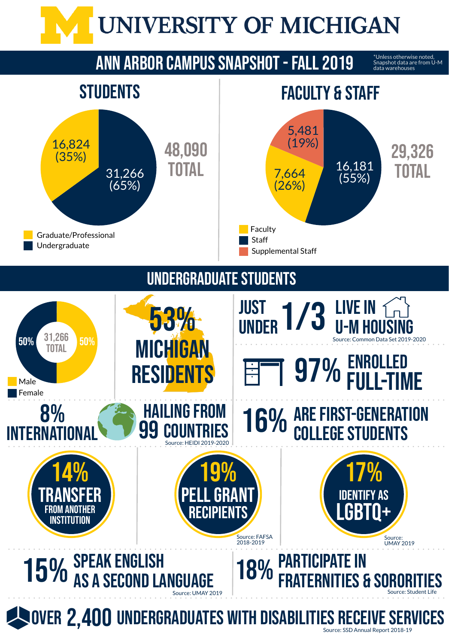

### **ANN ARBOR CAMPUS SNAPSHOT - FALL 2019**

### UNDERGRADUATESTUDENTS

\*Unless otherwise noted, Snapshot data are from U-M data warehouses



## **NOVER 2,400 UNDERGRADUATES WITH DISABILITIES RECEIVE SERVICES**



Source: SSD Annual Report 2018-19



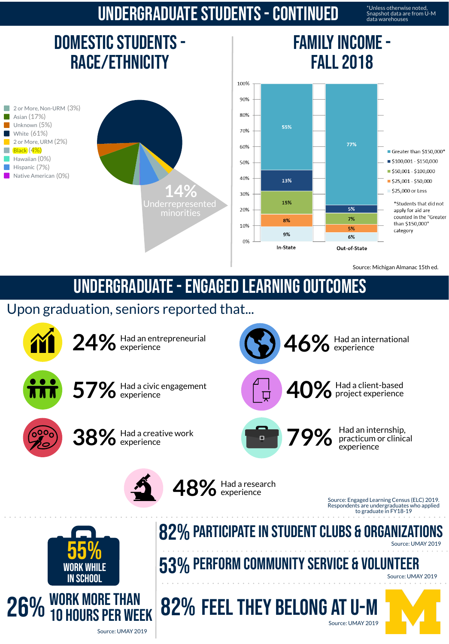### undergraduatestudents-Continued

\*Unless otherwise noted, Snapshot data are from U-M data warehouses

### DOMESTIC STUDENTS -Race/Ethnicity

2 or More, Non-URM (3%) Asian (17%) Unknown (5%) White (61%) 2 or More, URM (2%) Black (4%) Hawaiian (0%) Hispanic (7%) Native American (0%)

### FAMILY INCOME -Fall 2018





Source: Michigan Almanac 15th ed.

### undergraduate-Engaged learning outcomes

### Upon graduation, seniors reported that...

Source: Engaged Learning Census (ELC) 2019. Respondents are undergraduates who applied to graduate in FY18-19



**57%** Had <sup>a</sup> civic engagement experience



### 26% WORK MORE THAN **10 HOURS PER WEEK**

### 82% PARTICIPATE IN STUDENT CLUBS & ORGANIZATIONS

**38%** Had <sup>a</sup> creative work experience





Had an international experience

**40%**

Had a client-based

project experience



Had an internship, practicum or clinical experience





Source: UMAY 2019

Source: UMAY 2019

## 53%Perform communityservice & volunteer

Source: UMAY 2019

# 82% FEEL THEY BELONG AT U-M



Source: UMAY 2019

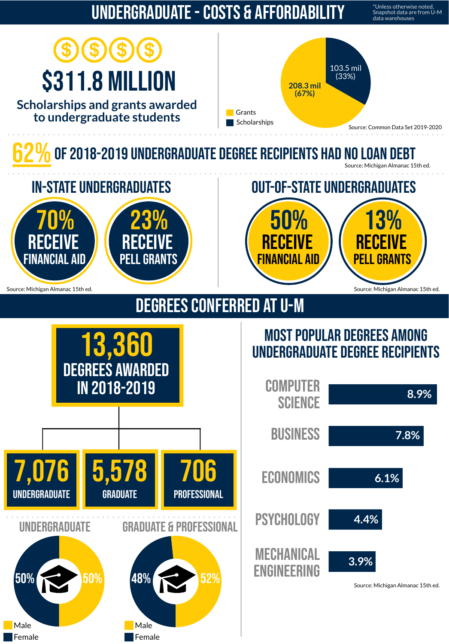### undergraduate-Costs & Affordability

\*Unless otherwise noted, Snapshot data are from U-M data warehouses

# \$311.8 million

**Scholarships and grants awarded to undergraduate students**

### MOST POPULAR DEGREES AMONG 13,360 undergraduate degree recipients



**COMPUTER** science





Source: Michigan Almanac 15thed. Source: Michigan Almanac 15thed. Source: Michigan Almanac 15thed.

## DEGREES CONFERRED AT U-M



# OF 2018-2019 UNDERGRADUATE DEGREE RECIPIENTS HAD NO LOAN DEBT

Source: Michigan Almanac 15th ed.









![](_page_2_Picture_19.jpeg)

![](_page_2_Picture_21.jpeg)